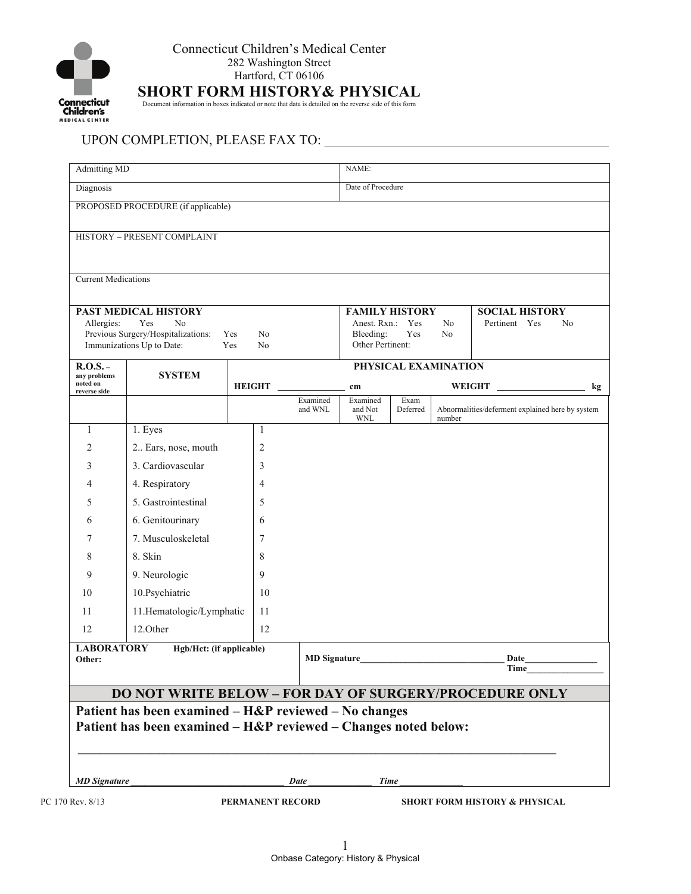

**SHORT FORM HISTORY& PHYSICAL** Document information in boxes indicated or note that data is detailed on the reverse side of this form

## UPON COMPLETION, PLEASE FAX TO: \_\_\_\_\_\_\_\_\_\_\_\_\_\_\_\_\_\_\_\_\_\_\_\_\_\_\_\_\_\_\_\_\_\_\_\_\_\_\_\_\_\_

| <b>Current Medications</b>                                                                                                                                      |                          |                |                     |                                                                            |                  |                      |                                                          |
|-----------------------------------------------------------------------------------------------------------------------------------------------------------------|--------------------------|----------------|---------------------|----------------------------------------------------------------------------|------------------|----------------------|----------------------------------------------------------|
| <b>PAST MEDICAL HISTORY</b><br>Yes<br>No<br>Allergies:<br>Previous Surgery/Hospitalizations:<br>Yes<br>No<br>Immunizations Up to Date:<br>Yes<br>N <sub>0</sub> |                          |                |                     | <b>FAMILY HISTORY</b><br>Anest. Rxn.: Yes<br>Bleeding:<br>Other Pertinent: | Yes              | N <sub>0</sub><br>No | <b>SOCIAL HISTORY</b><br>Pertinent Yes<br>N <sub>0</sub> |
| $R.O.S. -$                                                                                                                                                      |                          |                |                     | PHYSICAL EXAMINATION                                                       |                  |                      |                                                          |
| any problems<br>noted on                                                                                                                                        | <b>SYSTEM</b>            | <b>HEIGHT</b>  |                     | cm                                                                         |                  |                      | <b>WEIGHT</b>                                            |
| reverse side                                                                                                                                                    |                          |                | Examined<br>and WNL | Examined<br>and Not<br><b>WNL</b>                                          | Exam<br>Deferred | number               | Abnormalities/deferment explained here by system         |
| 1                                                                                                                                                               | 1. Eyes                  | 1              |                     |                                                                            |                  |                      |                                                          |
| 2                                                                                                                                                               | 2 Ears, nose, mouth      | $\overline{2}$ |                     |                                                                            |                  |                      |                                                          |
| 3                                                                                                                                                               | 3. Cardiovascular        | 3              |                     |                                                                            |                  |                      |                                                          |
| 4                                                                                                                                                               | 4. Respiratory           | $\overline{4}$ |                     |                                                                            |                  |                      |                                                          |
| 5                                                                                                                                                               | 5. Gastrointestinal      | 5              |                     |                                                                            |                  |                      |                                                          |
| 6                                                                                                                                                               | 6. Genitourinary         | 6              |                     |                                                                            |                  |                      |                                                          |
| 7                                                                                                                                                               | 7. Musculoskeletal       | 7              |                     |                                                                            |                  |                      |                                                          |
| 8                                                                                                                                                               | 8. Skin                  | 8              |                     |                                                                            |                  |                      |                                                          |
| 9                                                                                                                                                               | 9. Neurologic            | 9              |                     |                                                                            |                  |                      |                                                          |
| 10                                                                                                                                                              | 10.Psychiatric           | 10             |                     |                                                                            |                  |                      |                                                          |
| 11                                                                                                                                                              | 11.Hematologic/Lymphatic | 11             |                     |                                                                            |                  |                      |                                                          |
| 12                                                                                                                                                              | 12.Other                 | 12             |                     |                                                                            |                  |                      |                                                          |
| <b>LABORATORY</b><br>Hgb/Hct: (if applicable)<br>Other:                                                                                                         |                          |                | <b>MD</b> Signature |                                                                            |                  |                      | Date<br>Time                                             |